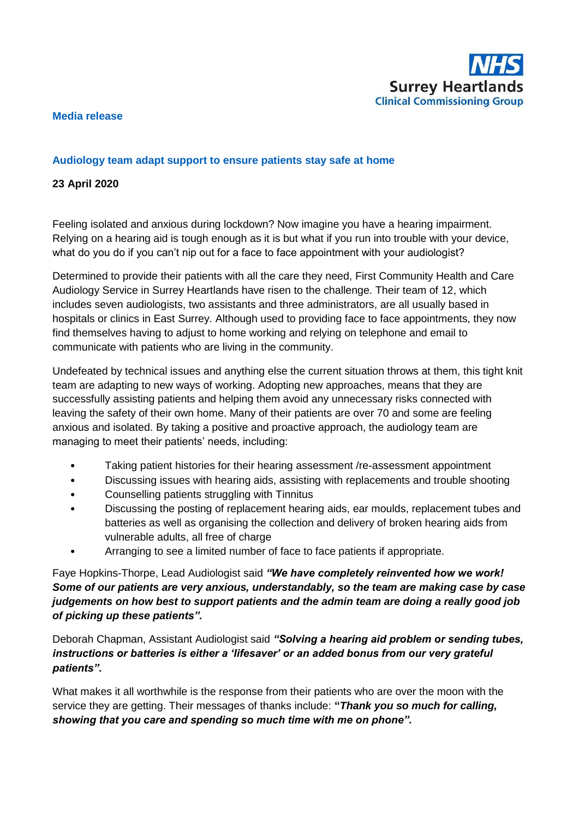

### **Media release**

# **Audiology team adapt support to ensure patients stay safe at home**

## **23 April 2020**

Feeling isolated and anxious during lockdown? Now imagine you have a hearing impairment. Relying on a hearing aid is tough enough as it is but what if you run into trouble with your device, what do you do if you can't nip out for a face to face appointment with your audiologist?

Determined to provide their patients with all the care they need, First Community Health and Care Audiology Service in Surrey Heartlands have risen to the challenge. Their team of 12, which includes seven audiologists, two assistants and three administrators, are all usually based in hospitals or clinics in East Surrey. Although used to providing face to face appointments, they now find themselves having to adjust to home working and relying on telephone and email to communicate with patients who are living in the community.

Undefeated by technical issues and anything else the current situation throws at them, this tight knit team are adapting to new ways of working. Adopting new approaches, means that they are successfully assisting patients and helping them avoid any unnecessary risks connected with leaving the safety of their own home. Many of their patients are over 70 and some are feeling anxious and isolated. By taking a positive and proactive approach, the audiology team are managing to meet their patients' needs, including:

- Taking patient histories for their hearing assessment /re-assessment appointment
- Discussing issues with hearing aids, assisting with replacements and trouble shooting
- Counselling patients struggling with Tinnitus
- Discussing the posting of replacement hearing aids, ear moulds, replacement tubes and batteries as well as organising the collection and delivery of broken hearing aids from vulnerable adults, all free of charge
- Arranging to see a limited number of face to face patients if appropriate.

Faye Hopkins-Thorpe, Lead Audiologist said *"We have completely reinvented how we work! Some of our patients are very anxious, understandably, so the team are making case by case judgements on how best to support patients and the admin team are doing a really good job of picking up these patients".*

Deborah Chapman, Assistant Audiologist said *"Solving a hearing aid problem or sending tubes, instructions or batteries is either a 'lifesaver' or an added bonus from our very grateful patients".* 

What makes it all worthwhile is the response from their patients who are over the moon with the service they are getting. Their messages of thanks include: **"***Thank you so much for calling, showing that you care and spending so much time with me on phone".*